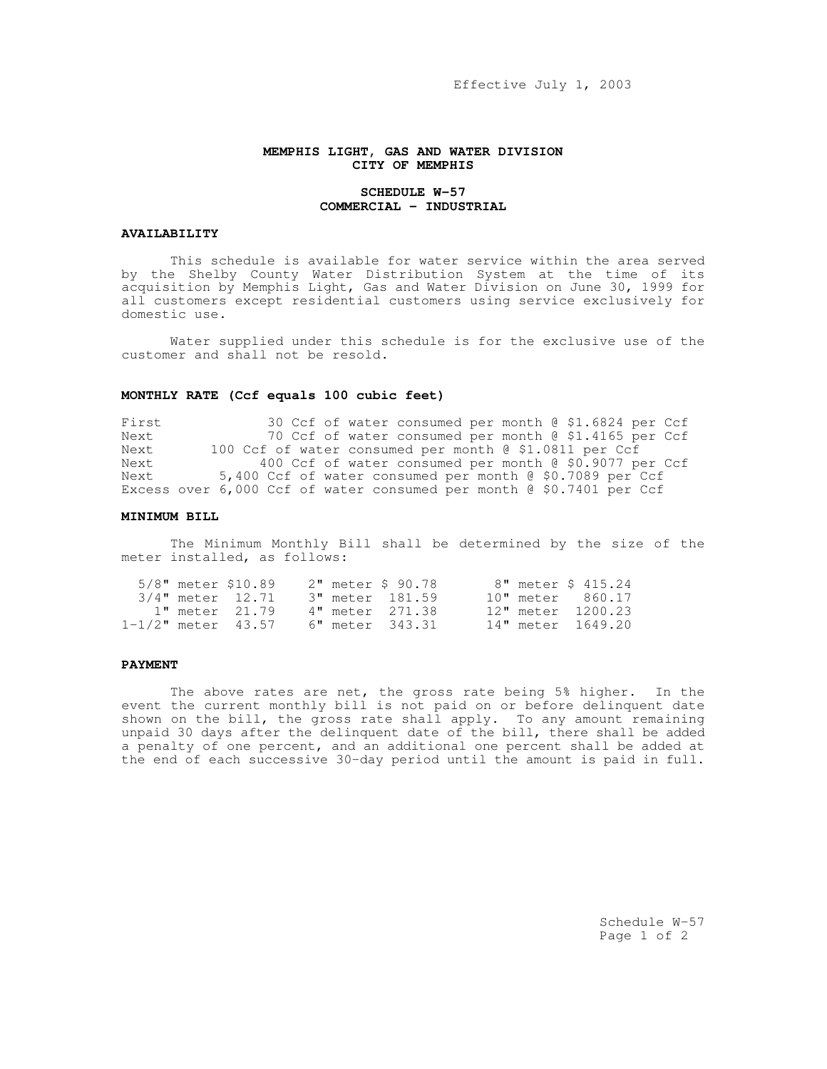Effective July 1, 2003

## **MEMPHIS LIGHT, GAS AND WATER DIVISION CITY OF MEMPHIS**

### **SCHEDULE W-57 COMMERCIAL - INDUSTRIAL**

# **AVAILABILITY**

This schedule is available for water service within the area served by the Shelby County Water Distribution System at the time of its acquisition by Memphis Light, Gas and Water Division on June 30, 1999 for all customers except residential customers using service exclusively for domestic use.

Water supplied under this schedule is for the exclusive use of the customer and shall not be resold.

### **MONTHLY RATE (Ccf equals 100 cubic feet)**

First 30 Ccf of water consumed per month @ \$1.6824 per Ccf<br>Next 30 Ccf of water consumed per month @ \$1.4165 per Ccf 70 Ccf of water consumed per month @ \$1.4165 per Ccf Next 100 Ccf of water consumed per month @ \$1.0811 per Ccf Next 400 Ccf of water consumed per month @ \$0.9077 per Ccf<br>Next 5.400 Ccf of water consumed per month @ \$0.7089 per Ccf 5,400 Ccf of water consumed per month @ \$0.7089 per Ccf Excess over 6,000 Ccf of water consumed per month @ \$0.7401 per Ccf

#### **MINIMUM BILL**

The Minimum Monthly Bill shall be determined by the size of the meter installed, as follows:

|  | 5/8" meter \$10.89      |  | 2" meter \$ 90.78 |  | 8" meter \$ 415.24 |
|--|-------------------------|--|-------------------|--|--------------------|
|  | 3/4" meter 12.71        |  | 3" meter 181.59   |  | 10" meter 860.17   |
|  | 1" meter 21.79          |  | 4" meter 271.38   |  | 12" meter 1200.23  |
|  | $1 - 1/2$ " meter 43.57 |  | 6" meter 343.31   |  | 14" meter 1649.20  |

## **PAYMENT**

The above rates are net, the gross rate being 5% higher. In the event the current monthly bill is not paid on or before delinquent date shown on the bill, the gross rate shall apply. To any amount remaining unpaid 30 days after the delinquent date of the bill, there shall be added a penalty of one percent, and an additional one percent shall be added at the end of each successive 30-day period until the amount is paid in full.

> Schedule W-57 Page 1 of 2